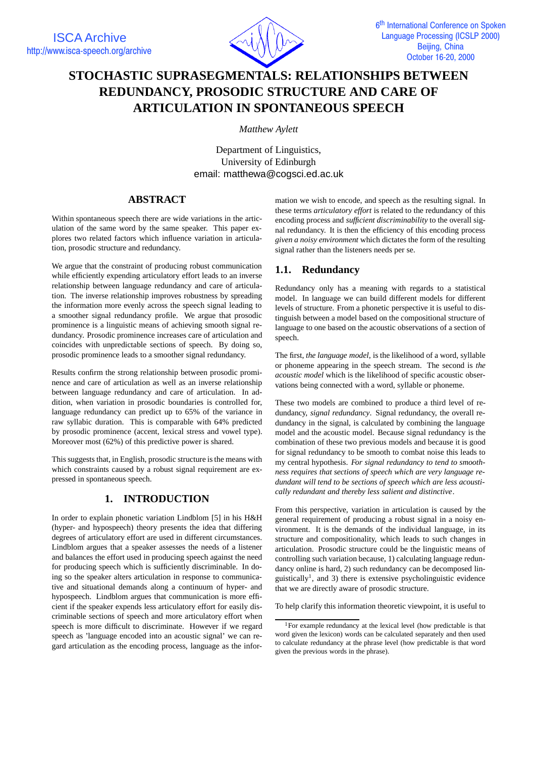

# **STOCHASTIC SUPRASEGMENTALS: RELATIONSHIPS BETWEEN REDUNDANCY, PROSODIC STRUCTURE AND CARE OF ARTICULATION IN SPONTANEOUS SPEECH**

*Matthew Aylett*

Department of Linguistics, University of Edinburgh email: matthewa@cogsci.ed.ac.uk

# **ABSTRACT**

Within spontaneous speech there are wide variations in the articulation of the same word by the same speaker. This paper explores two related factors which influence variation in articulation, prosodic structure and redundancy.

We argue that the constraint of producing robust communication while efficiently expending articulatory effort leads to an inverse relationship between language redundancy and care of articulation. The inverse relationship improves robustness by spreading the information more evenly across the speech signal leading to a smoother signal redundancy profile. We argue that prosodic prominence is a linguistic means of achieving smooth signal redundancy. Prosodic prominence increases care of articulation and coincides with unpredictable sections of speech. By doing so, prosodic prominence leads to a smoother signal redundancy.

Results confirm the strong relationship between prosodic prominence and care of articulation as well as an inverse relationship between language redundancy and care of articulation. In addition, when variation in prosodic boundaries is controlled for, language redundancy can predict up to 65% of the variance in raw syllabic duration. This is comparable with 64% predicted by prosodic prominence (accent, lexical stress and vowel type). Moreover most (62%) of this predictive power is shared.

This suggests that, in English, prosodic structure is the means with which constraints caused by a robust signal requirement are expressed in spontaneous speech.

# **1. INTRODUCTION**

In order to explain phonetic variation Lindblom [5] in his H&H (hyper- and hypospeech) theory presents the idea that differing degrees of articulatory effort are used in different circumstances. Lindblom argues that a speaker assesses the needs of a listener and balances the effort used in producing speech against the need for producing speech which is sufficiently discriminable. In doing so the speaker alters articulation in response to communicative and situational demands along a continuum of hyper- and hypospeech. Lindblom argues that communication is more efficient if the speaker expends less articulatory effort for easily discriminable sections of speech and more articulatory effort when speech is more difficult to discriminate. However if we regard speech as 'language encoded into an acoustic signal' we can regard articulation as the encoding process, language as the information we wish to encode, and speech as the resulting signal. In these terms *articulatory effort* is related to the redundancy of this encoding process and *sufficient discriminability* to the overall signal redundancy. It is then the efficiency of this encoding process *given a noisy environment* which dictates the form of the resulting signal rather than the listeners needs per se.

# **1.1. Redundancy**

Redundancy only has a meaning with regards to a statistical model. In language we can build different models for different levels of structure. From a phonetic perspective it is useful to distinguish between a model based on the compositional structure of language to one based on the acoustic observations of a section of speech.

The first, *the language model*, is the likelihood of a word, syllable or phoneme appearing in the speech stream. The second is *the acoustic model* which is the likelihood of specific acoustic observations being connected with a word, syllable or phoneme.

These two models are combined to produce a third level of redundancy, *signal redundancy*. Signal redundancy, the overall redundancy in the signal, is calculated by combining the language model and the acoustic model. Because signal redundancy is the combination of these two previous models and because it is good for signal redundancy to be smooth to combat noise this leads to my central hypothesis. *For signal redundancy to tend to smoothness requires that sections of speech which are very language redundant will tend to be sections of speech which are less acoustically redundant and thereby less salient and distinctive*.

From this perspective, variation in articulation is caused by the general requirement of producing a robust signal in a noisy environment. It is the demands of the individual language, in its structure and compositionality, which leads to such changes in articulation. Prosodic structure could be the linguistic means of controlling such variation because, 1) calculating language redundancy online is hard, 2) such redundancy can be decomposed linguistically<sup>1</sup>, and 3) there is extensive psycholinguistic evidence that we are directly aware of prosodic structure.

To help clarify this information theoretic viewpoint, it is useful to

<sup>&</sup>lt;sup>1</sup>For example redundancy at the lexical level (how predictable is that word given the lexicon) words can be calculated separately and then used to calculate redundancy at the phrase level (how predictable is that word given the previous words in the phrase).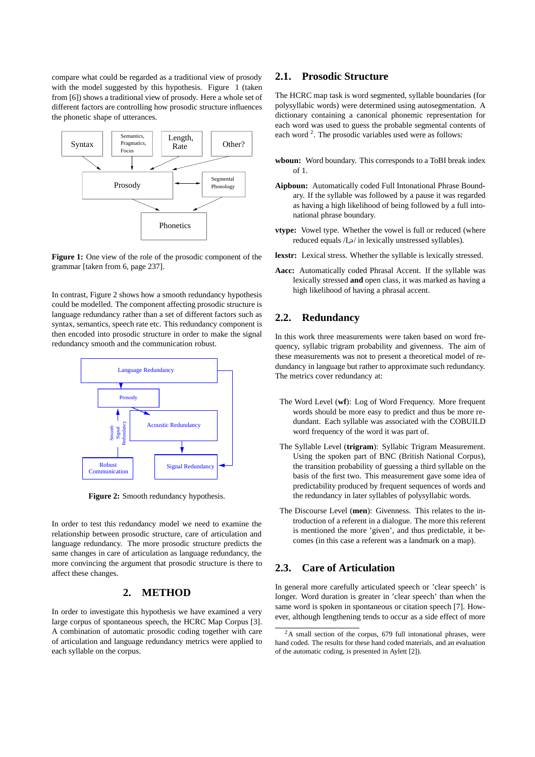compare what could be regarded as a traditional view of prosody with the model suggested by this hypothesis. Figure 1 (taken from [6]) shows a traditional view of prosody. Here a whole set of different factors are controlling how prosodic structure influences the phonetic shape of utterances.



**Figure 1:** One view of the role of the prosodic component of the grammar [taken from 6, page 237].

In contrast, Figure 2 shows how a smooth redundancy hypothesis could be modelled. The component affecting prosodic structure is language redundancy rather than a set of different factors such as syntax, semantics, speech rate etc. This redundancy component is then encoded into prosodic structure in order to make the signal redundancy smooth and the communication robust.



**Figure 2:** Smooth redundancy hypothesis.

In order to test this redundancy model we need to examine the relationship between prosodic structure, care of articulation and language redundancy. The more prosodic structure predicts the same changes in care of articulation as language redundancy, the more convincing the argument that prosodic structure is there to affect these changes.

#### **2. METHOD**

In order to investigate this hypothesis we have examined a very large corpus of spontaneous speech, the HCRC Map Corpus [3]. A combination of automatic prosodic coding together with care of articulation and language redundancy metrics were applied to each syllable on the corpus.

### **2.1. Prosodic Structure**

The HCRC map task is word segmented, syllable boundaries (for polysyllabic words) were determined using autosegmentation. A dictionary containing a canonical phonemic representation for each word was used to guess the probable segmental contents of each word<sup>2</sup>. The prosodic variables used were as follows:

- **wboun:** Word boundary. This corresponds to a ToBI break index of 1.
- **Aipboun:** Automatically coded Full Intonational Phrase Boundary. If the syllable was followed by a pause it was regarded as having a high likelihood of being followed by a full intonational phrase boundary.
- **vtype:** Vowel type. Whether the vowel is full or reduced (where reduced equals /I, a in lexically unstressed syllables).
- **lexstr:** Lexical stress. Whether the syllable is lexically stressed.
- **Aacc:** Automatically coded Phrasal Accent. If the syllable was lexically stressed **and** open class, it was marked as having a high likelihood of having a phrasal accent.

## **2.2. Redundancy**

In this work three measurements were taken based on word frequency, syllabic trigram probability and givenness. The aim of these measurements was not to present a theoretical model of redundancy in language but rather to approximate such redundancy. The metrics cover redundancy at:

- The Word Level (**wf**): Log of Word Frequency. More frequent words should be more easy to predict and thus be more redundant. Each syllable was associated with the COBUILD word frequency of the word it was part of.
- The Syllable Level (**trigram**): Syllabic Trigram Measurement. Using the spoken part of BNC (British National Corpus), the transition probability of guessing a third syllable on the basis of the first two. This measurement gave some idea of predictability produced by frequent sequences of words and the redundancy in later syllables of polysyllabic words.
- The Discourse Level (**men**): Givenness. This relates to the introduction of a referent in a dialogue. The more this referent is mentioned the more 'given', and thus predictable, it becomes (in this case a referent was a landmark on a map).

# **2.3. Care of Articulation**

In general more carefully articulated speech or 'clear speech' is longer. Word duration is greater in 'clear speech' than when the same word is spoken in spontaneous or citation speech [7]. However, although lengthening tends to occur as a side effect of more

<sup>2</sup>A small section of the corpus, 679 full intonational phrases, were hand coded. The results for these hand coded materials, and an evaluation of the automatic coding, is presented in Aylett [2]).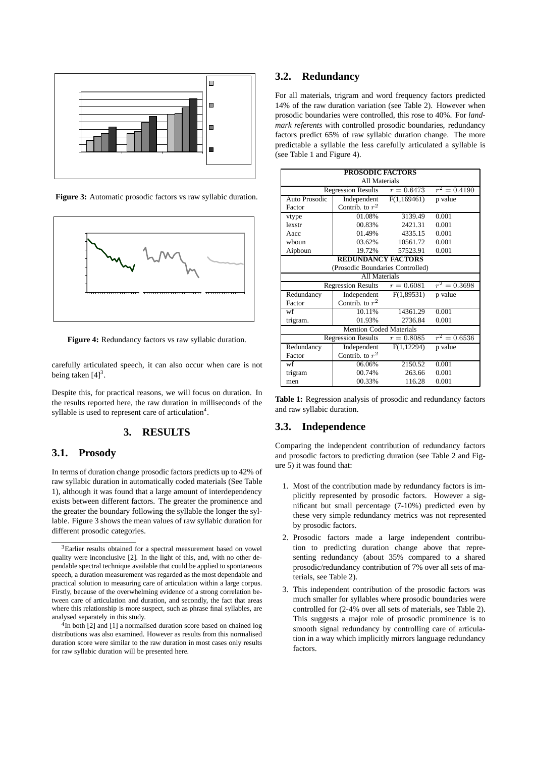

**Figure 3:** Automatic prosodic factors vs raw syllabic duration.



**Figure 4:** Redundancy factors vs raw syllabic duration.

carefully articulated speech, it can also occur when care is not being taken  $[4]^3$ .

Despite this, for practical reasons, we will focus on duration. In the results reported here, the raw duration in milliseconds of the syllable is used to represent care of articulation<sup>4</sup>.

## **3. RESULTS**

#### **3.1. Prosody**

In terms of duration change prosodic factors predicts up to 42% of raw syllabic duration in automatically coded materials (See Table 1), although it was found that a large amount of interdependency exists between different factors. The greater the prominence and the greater the boundary following the syllable the longer the syllable. Figure 3 shows the mean values of raw syllabic duration for different prosodic categories.

# **3.2. Redundancy**

For all materials, trigram and word frequency factors predicted 14% of the raw duration variation (see Table 2). However when prosodic boundaries were controlled, this rose to 40%. For *landmark referents* with controlled prosodic boundaries, redundancy factors predict 65% of raw syllabic duration change. The more predictable a syllable the less carefully articulated a syllable is (see Table 1 and Figure 4).

| <b>PROSODIC FACTORS</b>                                     |                                 |            |                |  |  |  |  |
|-------------------------------------------------------------|---------------------------------|------------|----------------|--|--|--|--|
| All Materials                                               |                                 |            |                |  |  |  |  |
| Regression Results $r = 0.6473$                             | $r^2 = 0.4190$                  |            |                |  |  |  |  |
| Auto Prosodic                                               | Independent<br>F(1,169461)      |            | p value        |  |  |  |  |
| Factor                                                      | Contrib. to $r^2$               |            |                |  |  |  |  |
| vtype                                                       | 01.08%<br>3139.49               |            | 0.001          |  |  |  |  |
| lexstr                                                      | 00.83%                          | 2421.31    | 0.001          |  |  |  |  |
| Aacc                                                        | 01.49%                          | 4335.15    | 0.001          |  |  |  |  |
| whoun                                                       | 03.62%                          | 10561.72   | 0.001          |  |  |  |  |
| Aipboun                                                     | 19.72%                          | 57523.91   | 0.001          |  |  |  |  |
| <b>REDUNDANCY FACTORS</b>                                   |                                 |            |                |  |  |  |  |
| (Prosodic Boundaries Controlled)                            |                                 |            |                |  |  |  |  |
| All Materials                                               |                                 |            |                |  |  |  |  |
|                                                             | Regression Results $r = 0.6081$ |            | $r^2 = 0.3698$ |  |  |  |  |
| Redundancy                                                  | Independent                     | F(1,89531) | p value        |  |  |  |  |
| Factor                                                      | Contrib. to $r^2$               |            |                |  |  |  |  |
| wf                                                          | 10.11%                          | 14361.29   | 0.001          |  |  |  |  |
| trigram.                                                    | 01.93%                          |            | 0.001          |  |  |  |  |
| <b>Mention Coded Materials</b>                              |                                 |            |                |  |  |  |  |
| $r^2 = 0.6536$<br><b>Regression Results</b><br>$r = 0.8085$ |                                 |            |                |  |  |  |  |
| Redundancy                                                  | Independent                     | F(1,12294) | p value        |  |  |  |  |
| Factor                                                      | Contrib. to $r^2$               |            |                |  |  |  |  |
| wf                                                          | 06.06%                          | 2150.52    | 0.001          |  |  |  |  |
| trigram                                                     | 00.74%                          |            | 0.001          |  |  |  |  |
| men                                                         | 00.33%                          | 116.28     | 0.001          |  |  |  |  |

**Table 1:** Regression analysis of prosodic and redundancy factors and raw syllabic duration.

#### **3.3. Independence**

Comparing the independent contribution of redundancy factors and prosodic factors to predicting duration (see Table 2 and Figure 5) it was found that:

- 1. Most of the contribution made by redundancy factors is implicitly represented by prosodic factors. However a significant but small percentage (7-10%) predicted even by these very simple redundancy metrics was not represented by prosodic factors.
- 2. Prosodic factors made a large independent contribution to predicting duration change above that representing redundancy (about 35% compared to a shared prosodic/redundancy contribution of 7% over all sets of materials, see Table 2).
- 3. This independent contribution of the prosodic factors was much smaller for syllables where prosodic boundaries were controlled for (2-4% over all sets of materials, see Table 2). This suggests a major role of prosodic prominence is to smooth signal redundancy by controlling care of articulation in a way which implicitly mirrors language redundancy factors.

<sup>3</sup>Earlier results obtained for a spectral measurement based on vowel quality were inconclusive [2]. In the light of this, and, with no other dependable spectral technique available that could be applied to spontaneous speech, a duration measurement was regarded as the most dependable and practical solution to measuring care of articulation within a large corpus. Firstly, because of the overwhelming evidence of a strong correlation between care of articulation and duration, and secondly, the fact that areas where this relationship is more suspect, such as phrase final syllables, are analysed separately in this study.

<sup>&</sup>lt;sup>4</sup>In both [2] and [1] a normalised duration score based on chained log distributions was also examined. However as results from this normalised duration score were similar to the raw duration in most cases only results for raw syllabic duration will be presented here.